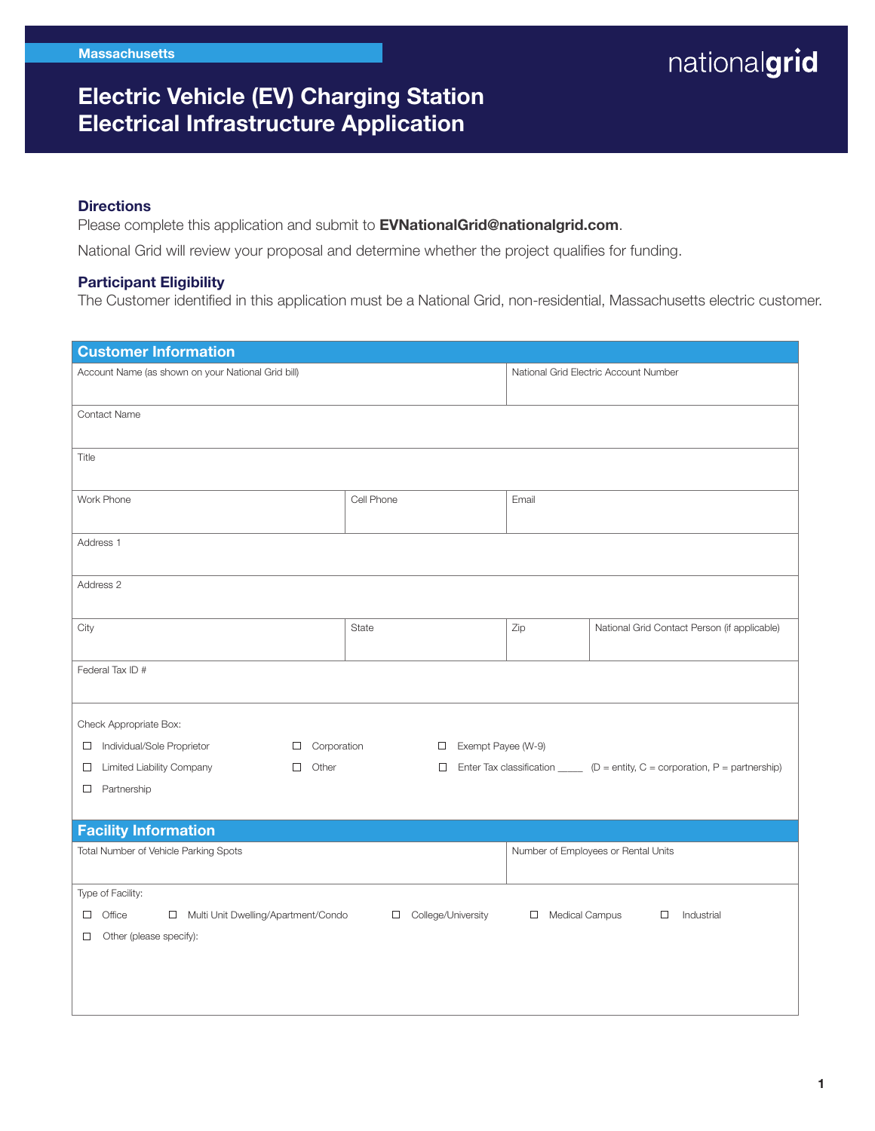### Electric Vehicle (EV) Charging Station Electrical Infrastructure Application

#### **Directions**

Please complete this application and submit to **EVNationalGrid@nationalgrid.com**.

National Grid will review your proposal and determine whether the project qualifies for funding.

#### Participant Eligibility

The Customer identified in this application must be a National Grid, non-residential, Massachusetts electric customer.

| <b>Customer Information</b>                                                                                                       |                                       |       |                                                                                                    |  |  |
|-----------------------------------------------------------------------------------------------------------------------------------|---------------------------------------|-------|----------------------------------------------------------------------------------------------------|--|--|
| Account Name (as shown on your National Grid bill)                                                                                | National Grid Electric Account Number |       |                                                                                                    |  |  |
| <b>Contact Name</b>                                                                                                               |                                       |       |                                                                                                    |  |  |
| Title                                                                                                                             |                                       |       |                                                                                                    |  |  |
| Work Phone                                                                                                                        | Cell Phone                            | Email |                                                                                                    |  |  |
| Address 1                                                                                                                         |                                       |       |                                                                                                    |  |  |
| Address 2                                                                                                                         |                                       |       |                                                                                                    |  |  |
| City                                                                                                                              | State                                 | Zip   | National Grid Contact Person (if applicable)                                                       |  |  |
| Federal Tax ID #                                                                                                                  |                                       |       |                                                                                                    |  |  |
| Check Appropriate Box:                                                                                                            |                                       |       |                                                                                                    |  |  |
| Individual/Sole Proprietor<br>Corporation<br>$\Box$<br>$\Box$                                                                     | Exempt Payee (W-9)<br>$\Box$          |       |                                                                                                    |  |  |
| <b>Limited Liability Company</b><br>Other<br>$\Box$<br>□                                                                          | $\Box$                                |       | Enter Tax classification $\underline{\hspace{1cm}}$ (D = entity, C = corporation, P = partnership) |  |  |
| Partnership<br>$\Box$                                                                                                             |                                       |       |                                                                                                    |  |  |
| <b>Facility Information</b>                                                                                                       |                                       |       |                                                                                                    |  |  |
| Total Number of Vehicle Parking Spots                                                                                             |                                       |       | Number of Employees or Rental Units                                                                |  |  |
| Type of Facility:                                                                                                                 |                                       |       |                                                                                                    |  |  |
| Multi Unit Dwelling/Apartment/Condo<br>College/University<br>Medical Campus<br>Office<br>$\Box$<br>$\Box$<br>Industrial<br>$\Box$ |                                       |       |                                                                                                    |  |  |
| Other (please specify):<br>0                                                                                                      |                                       |       |                                                                                                    |  |  |
|                                                                                                                                   |                                       |       |                                                                                                    |  |  |
|                                                                                                                                   |                                       |       |                                                                                                    |  |  |
|                                                                                                                                   |                                       |       |                                                                                                    |  |  |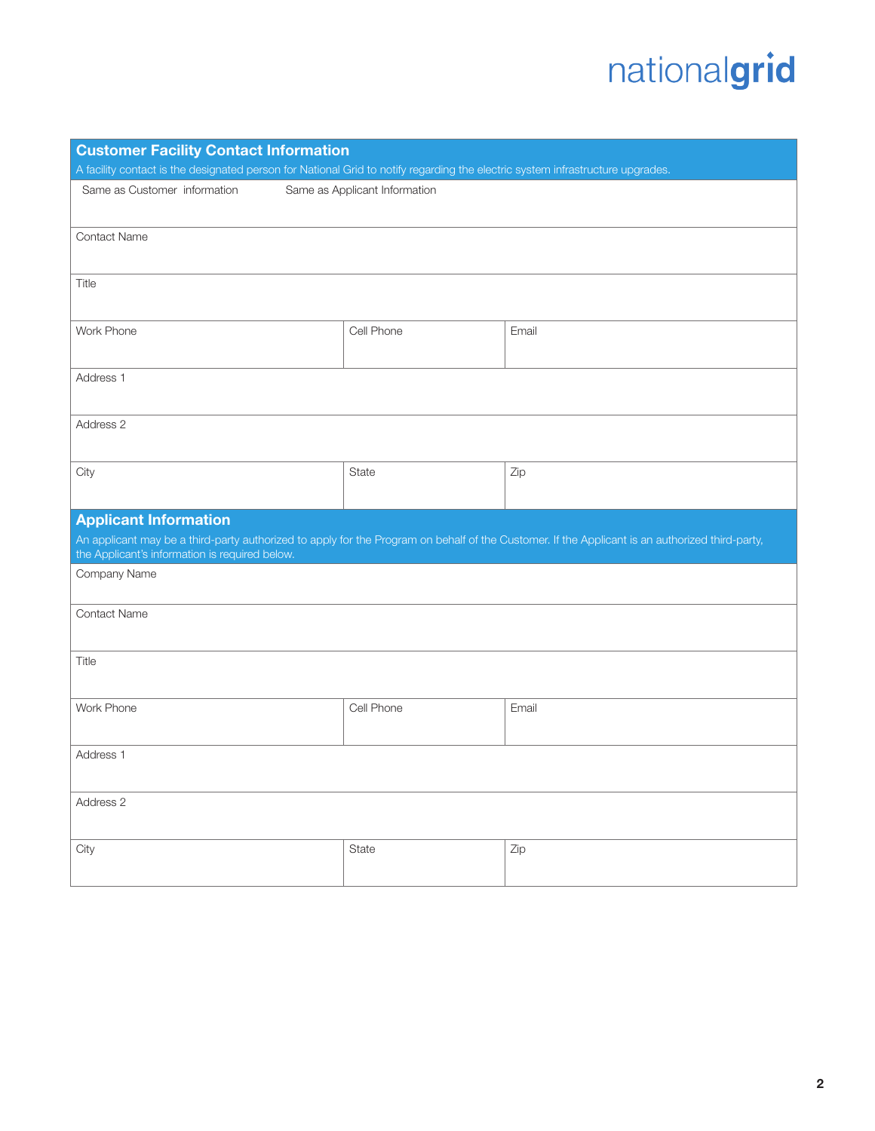| <b>Customer Facility Contact Information</b><br>A facility contact is the designated person for National Grid to notify regarding the electric system infrastructure upgrades.                    |                               |       |  |  |
|---------------------------------------------------------------------------------------------------------------------------------------------------------------------------------------------------|-------------------------------|-------|--|--|
| Same as Customer information                                                                                                                                                                      | Same as Applicant Information |       |  |  |
|                                                                                                                                                                                                   |                               |       |  |  |
| <b>Contact Name</b>                                                                                                                                                                               |                               |       |  |  |
|                                                                                                                                                                                                   |                               |       |  |  |
| Title                                                                                                                                                                                             |                               |       |  |  |
|                                                                                                                                                                                                   |                               |       |  |  |
| Work Phone                                                                                                                                                                                        | Cell Phone                    | Email |  |  |
|                                                                                                                                                                                                   |                               |       |  |  |
| Address 1                                                                                                                                                                                         |                               |       |  |  |
|                                                                                                                                                                                                   |                               |       |  |  |
| Address 2                                                                                                                                                                                         |                               |       |  |  |
|                                                                                                                                                                                                   |                               |       |  |  |
| City                                                                                                                                                                                              | <b>State</b>                  | Zip   |  |  |
|                                                                                                                                                                                                   |                               |       |  |  |
| <b>Applicant Information</b>                                                                                                                                                                      |                               |       |  |  |
| An applicant may be a third-party authorized to apply for the Program on behalf of the Customer. If the Applicant is an authorized third-party,<br>the Applicant's information is required below. |                               |       |  |  |
| Company Name                                                                                                                                                                                      |                               |       |  |  |
|                                                                                                                                                                                                   |                               |       |  |  |
| <b>Contact Name</b>                                                                                                                                                                               |                               |       |  |  |
|                                                                                                                                                                                                   |                               |       |  |  |
| Title                                                                                                                                                                                             |                               |       |  |  |
|                                                                                                                                                                                                   |                               |       |  |  |
| Work Phone                                                                                                                                                                                        | Cell Phone                    | Email |  |  |
|                                                                                                                                                                                                   |                               |       |  |  |
| Address 1                                                                                                                                                                                         |                               |       |  |  |
|                                                                                                                                                                                                   |                               |       |  |  |
| Address 2                                                                                                                                                                                         |                               |       |  |  |
|                                                                                                                                                                                                   |                               |       |  |  |
| City                                                                                                                                                                                              | <b>State</b>                  | Zip   |  |  |
|                                                                                                                                                                                                   |                               |       |  |  |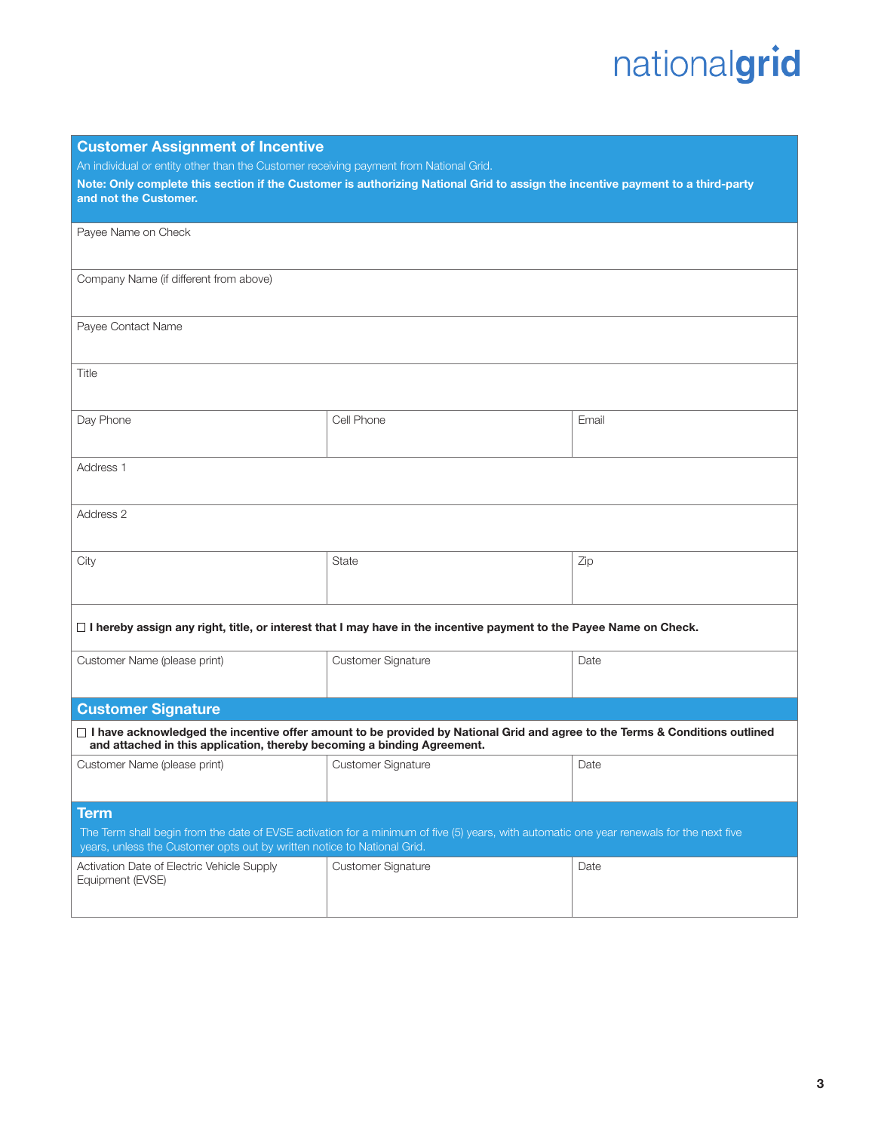| <b>Customer Assignment of Incentive</b>                                                                                                   |                           |       |  |  |  |
|-------------------------------------------------------------------------------------------------------------------------------------------|---------------------------|-------|--|--|--|
| An individual or entity other than the Customer receiving payment from National Grid.                                                     |                           |       |  |  |  |
| Note: Only complete this section if the Customer is authorizing National Grid to assign the incentive payment to a third-party            |                           |       |  |  |  |
| and not the Customer.                                                                                                                     |                           |       |  |  |  |
|                                                                                                                                           |                           |       |  |  |  |
| Payee Name on Check                                                                                                                       |                           |       |  |  |  |
|                                                                                                                                           |                           |       |  |  |  |
| Company Name (if different from above)                                                                                                    |                           |       |  |  |  |
|                                                                                                                                           |                           |       |  |  |  |
|                                                                                                                                           |                           |       |  |  |  |
| Payee Contact Name                                                                                                                        |                           |       |  |  |  |
|                                                                                                                                           |                           |       |  |  |  |
| Title                                                                                                                                     |                           |       |  |  |  |
|                                                                                                                                           |                           |       |  |  |  |
|                                                                                                                                           |                           |       |  |  |  |
| Day Phone                                                                                                                                 | Cell Phone                | Email |  |  |  |
|                                                                                                                                           |                           |       |  |  |  |
| Address <sub>1</sub>                                                                                                                      |                           |       |  |  |  |
|                                                                                                                                           |                           |       |  |  |  |
|                                                                                                                                           |                           |       |  |  |  |
| Address 2                                                                                                                                 |                           |       |  |  |  |
|                                                                                                                                           |                           |       |  |  |  |
| City                                                                                                                                      | <b>State</b>              | Zip   |  |  |  |
|                                                                                                                                           |                           |       |  |  |  |
|                                                                                                                                           |                           |       |  |  |  |
|                                                                                                                                           |                           |       |  |  |  |
| $\Box$ I hereby assign any right, title, or interest that I may have in the incentive payment to the Payee Name on Check.                 |                           |       |  |  |  |
|                                                                                                                                           |                           |       |  |  |  |
| Customer Name (please print)                                                                                                              | Customer Signature        | Date  |  |  |  |
|                                                                                                                                           |                           |       |  |  |  |
| <b>Customer Signature</b>                                                                                                                 |                           |       |  |  |  |
| $\Box$ I have acknowledged the incentive offer amount to be provided by National Grid and agree to the Terms & Conditions outlined        |                           |       |  |  |  |
| and attached in this application, thereby becoming a binding Agreement.                                                                   |                           |       |  |  |  |
| Customer Name (please print)                                                                                                              | <b>Customer Signature</b> | Date  |  |  |  |
|                                                                                                                                           |                           |       |  |  |  |
|                                                                                                                                           |                           |       |  |  |  |
| <b>Term</b>                                                                                                                               |                           |       |  |  |  |
| The Term shall begin from the date of EVSE activation for a minimum of five (5) years, with automatic one year renewals for the next five |                           |       |  |  |  |
| years, unless the Customer opts out by written notice to National Grid.                                                                   |                           |       |  |  |  |
| Activation Date of Electric Vehicle Supply<br>Equipment (EVSE)                                                                            | <b>Customer Signature</b> | Date  |  |  |  |
|                                                                                                                                           |                           |       |  |  |  |
|                                                                                                                                           |                           |       |  |  |  |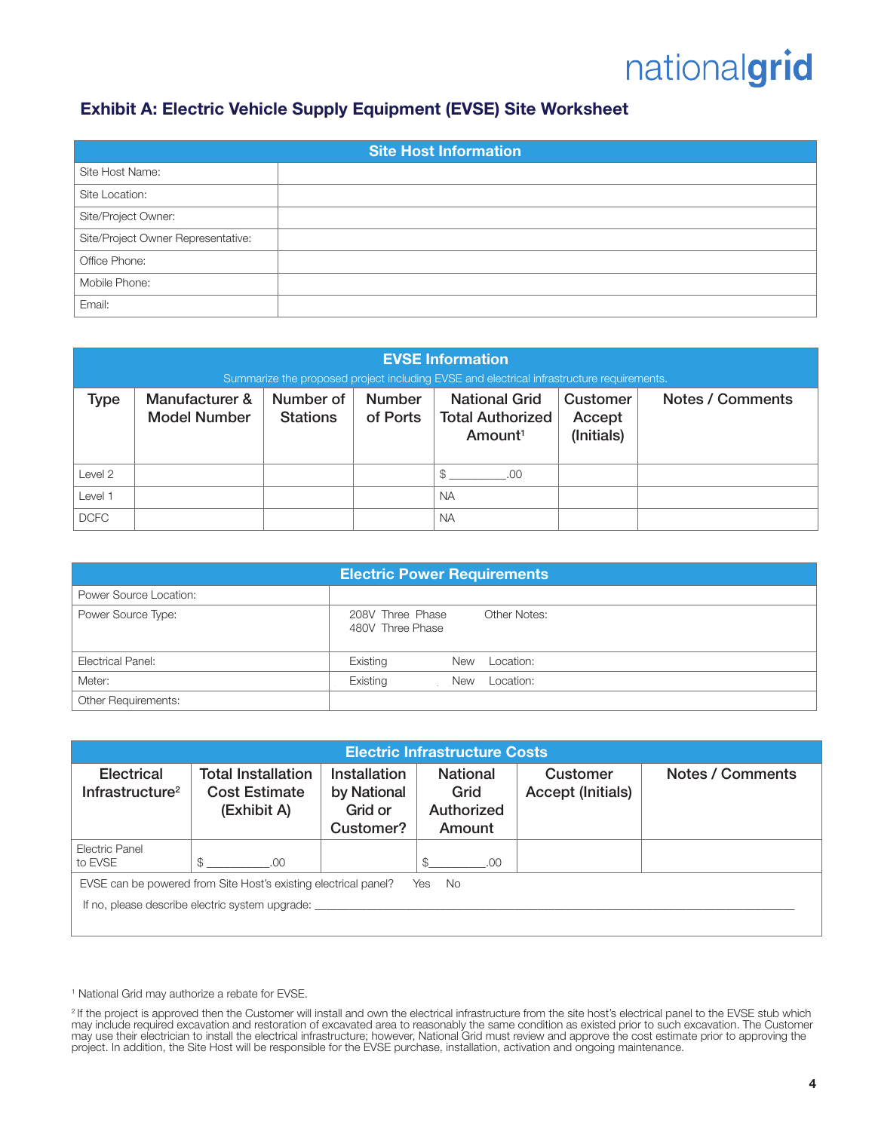### Exhibit A: Electric Vehicle Supply Equipment (EVSE) Site Worksheet

| <b>Site Host Information</b>       |  |  |  |  |
|------------------------------------|--|--|--|--|
| Site Host Name:                    |  |  |  |  |
| Site Location:                     |  |  |  |  |
| Site/Project Owner:                |  |  |  |  |
| Site/Project Owner Representative: |  |  |  |  |
| Office Phone:                      |  |  |  |  |
| Mobile Phone:                      |  |  |  |  |
| Email:                             |  |  |  |  |

| <b>EVSE Information</b><br>Summarize the proposed project including EVSE and electrical infrastructure requirements. |                                       |                              |                           |                                                                        |                                  |                  |
|----------------------------------------------------------------------------------------------------------------------|---------------------------------------|------------------------------|---------------------------|------------------------------------------------------------------------|----------------------------------|------------------|
| Type                                                                                                                 | Manufacturer &<br><b>Model Number</b> | Number of<br><b>Stations</b> | <b>Number</b><br>of Ports | <b>National Grid</b><br><b>Total Authorized</b><br>Amount <sup>1</sup> | Customer<br>Accept<br>(Initials) | Notes / Comments |
| Level <sub>2</sub>                                                                                                   |                                       |                              |                           | .OO                                                                    |                                  |                  |
| Level 1                                                                                                              |                                       |                              |                           | <b>NA</b>                                                              |                                  |                  |
| <b>DCFC</b>                                                                                                          |                                       |                              |                           | <b>NA</b>                                                              |                                  |                  |

| <b>Electric Power Requirements</b> |                                                      |  |  |  |
|------------------------------------|------------------------------------------------------|--|--|--|
| Power Source Location:             |                                                      |  |  |  |
| Power Source Type:                 | Other Notes:<br>208V Three Phase<br>480V Three Phase |  |  |  |
| Electrical Panel:                  | Existing<br>Location:<br>New                         |  |  |  |
| Meter:                             | Existing<br>Location:<br>New                         |  |  |  |
| Other Requirements:                |                                                      |  |  |  |

| <b>Electric Infrastructure Costs</b>                                                                                             |                                                                  |                                                     |                                                 |                                      |                  |  |
|----------------------------------------------------------------------------------------------------------------------------------|------------------------------------------------------------------|-----------------------------------------------------|-------------------------------------------------|--------------------------------------|------------------|--|
| <b>Electrical</b><br>Infrastructure <sup>2</sup>                                                                                 | <b>Total Installation</b><br><b>Cost Estimate</b><br>(Exhibit A) | Installation<br>by National<br>Grid or<br>Customer? | <b>National</b><br>Grid<br>Authorized<br>Amount | Customer<br><b>Accept (Initials)</b> | Notes / Comments |  |
| Electric Panel<br>to EVSE                                                                                                        | \$<br>.00.                                                       |                                                     | \$<br>.00                                       |                                      |                  |  |
| EVSE can be powered from Site Host's existing electrical panel?<br>No.<br>Yes<br>If no, please describe electric system upgrade: |                                                                  |                                                     |                                                 |                                      |                  |  |

<sup>1</sup> National Grid may authorize a rebate for EVSE.

<sup>&</sup>lt;sup>2</sup> If the project is approved then the Customer will install and own the electrical infrastructure from the site host's electrical panel to the EVSE stub which may include required excavation and restoration of excavated area to reasonably the same condition as existed prior to such excavation. The Customer may use their electrician to install the electrical infrastructure; however, National Grid must review and approve the cost estimate prior to approving the project. In addition, the Site Host will be responsible for the EVSE purchase, installation, activation and ongoing maintenance.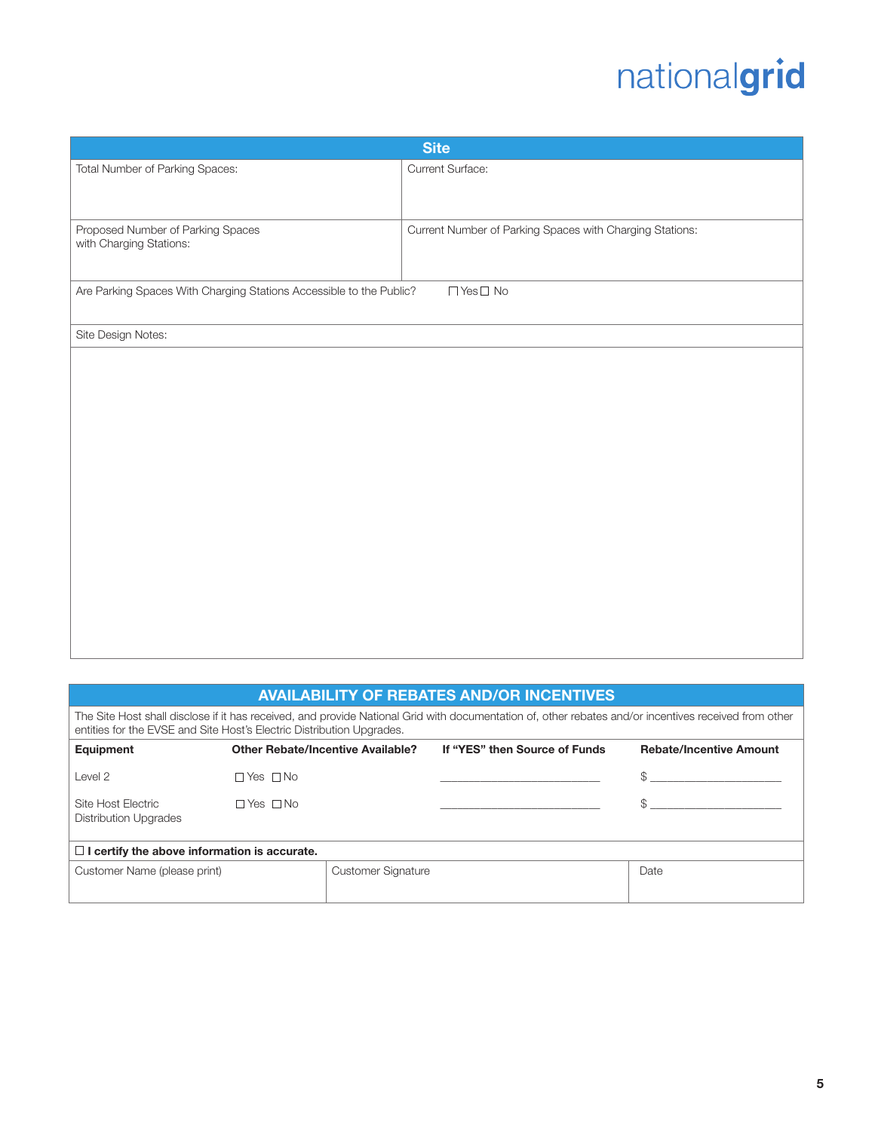| <b>Site</b>                                                         |                                                          |  |  |  |
|---------------------------------------------------------------------|----------------------------------------------------------|--|--|--|
| Total Number of Parking Spaces:                                     | Current Surface:                                         |  |  |  |
|                                                                     |                                                          |  |  |  |
|                                                                     |                                                          |  |  |  |
| Proposed Number of Parking Spaces<br>with Charging Stations:        | Current Number of Parking Spaces with Charging Stations: |  |  |  |
|                                                                     |                                                          |  |  |  |
| Are Parking Spaces With Charging Stations Accessible to the Public? | $\Box$ Yes $\Box$ No                                     |  |  |  |
|                                                                     |                                                          |  |  |  |
| Site Design Notes:                                                  |                                                          |  |  |  |
|                                                                     |                                                          |  |  |  |
|                                                                     |                                                          |  |  |  |
|                                                                     |                                                          |  |  |  |
|                                                                     |                                                          |  |  |  |
|                                                                     |                                                          |  |  |  |
|                                                                     |                                                          |  |  |  |
|                                                                     |                                                          |  |  |  |
|                                                                     |                                                          |  |  |  |
|                                                                     |                                                          |  |  |  |
|                                                                     |                                                          |  |  |  |
|                                                                     |                                                          |  |  |  |
|                                                                     |                                                          |  |  |  |
|                                                                     |                                                          |  |  |  |

#### AVAILABILITY OF REBATES AND/OR INCENTIVES

The Site Host shall disclose if it has received, and provide National Grid with documentation of, other rebates and/or incentives received from other entities for the EVSE and Site Host's Electric Distribution Upgrades.

| Equipment                                           |                      | <b>Other Rebate/Incentive Available?</b> | If "YES" then Source of Funds | <b>Rebate/Incentive Amount</b> |
|-----------------------------------------------------|----------------------|------------------------------------------|-------------------------------|--------------------------------|
| Level 2                                             | $\Box$ Yes $\Box$ No |                                          |                               | \$.                            |
| Site Host Electric<br><b>Distribution Upgrades</b>  | $\Box$ Yes $\Box$ No |                                          |                               |                                |
| $\Box$ I certify the above information is accurate. |                      |                                          |                               |                                |
| Customer Name (please print)                        |                      | <b>Customer Signature</b>                |                               | Date                           |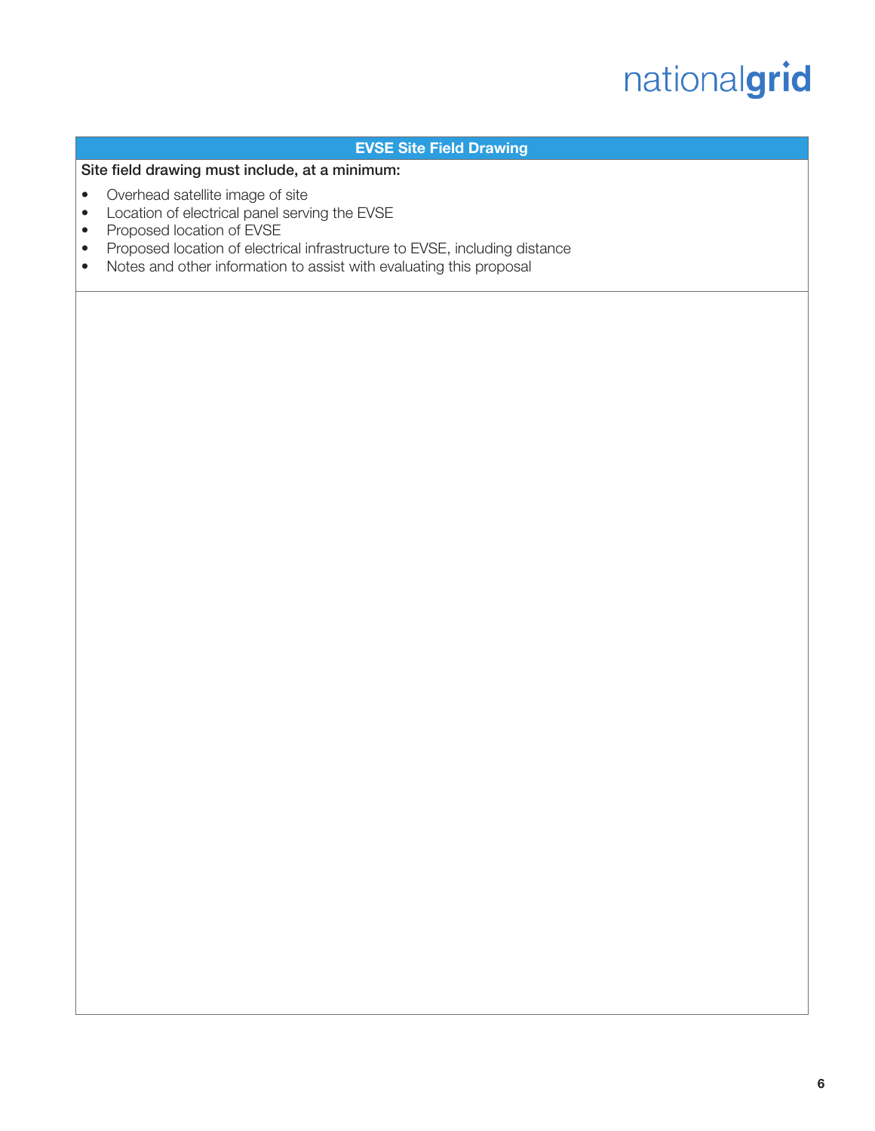#### EVSE Site Field Drawing

Site field drawing must include, at a minimum:

- Overhead satellite image of site
- Location of electrical panel serving the EVSE
- Proposed location of EVSE
- Proposed location of electrical infrastructure to EVSE, including distance
- Notes and other information to assist with evaluating this proposal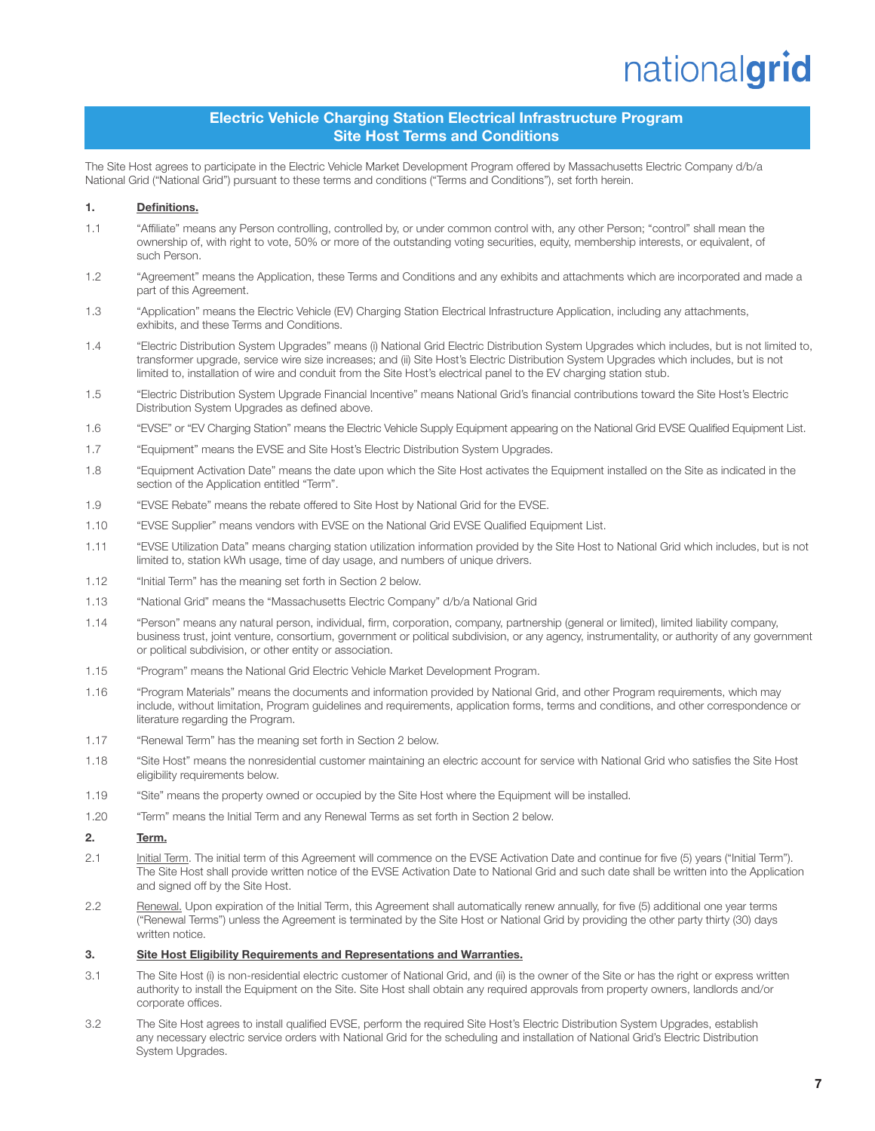#### Electric Vehicle Charging Station Electrical Infrastructure Program Site Host Terms and Conditions

The Site Host agrees to participate in the Electric Vehicle Market Development Program offered by Massachusetts Electric Company d/b/a National Grid ("National Grid") pursuant to these terms and conditions ("Terms and Conditions"), set forth herein.

#### 1. Definitions.

- 1.1 "Affiliate" means any Person controlling, controlled by, or under common control with, any other Person; "control" shall mean the ownership of, with right to vote, 50% or more of the outstanding voting securities, equity, membership interests, or equivalent, of such Person.
- 1.2 "Agreement" means the Application, these Terms and Conditions and any exhibits and attachments which are incorporated and made a part of this Agreement.
- 1.3 "Application" means the Electric Vehicle (EV) Charging Station Electrical Infrastructure Application, including any attachments, exhibits, and these Terms and Conditions.
- 1.4 "Electric Distribution System Upgrades" means (i) National Grid Electric Distribution System Upgrades which includes, but is not limited to, transformer upgrade, service wire size increases; and (ii) Site Host's Electric Distribution System Upgrades which includes, but is not limited to, installation of wire and conduit from the Site Host's electrical panel to the EV charging station stub.
- 1.5 "Electric Distribution System Upgrade Financial Incentive" means National Grid's financial contributions toward the Site Host's Electric Distribution System Upgrades as defined above.
- 1.6 "EVSE" or "EV Charging Station" means the Electric Vehicle Supply Equipment appearing on the National Grid EVSE Qualified Equipment List.
- 1.7 "Equipment" means the EVSE and Site Host's Electric Distribution System Upgrades.
- 1.8 "Equipment Activation Date" means the date upon which the Site Host activates the Equipment installed on the Site as indicated in the section of the Application entitled "Term".
- 1.9 "EVSE Rebate" means the rebate offered to Site Host by National Grid for the EVSE.
- 1.10 "EVSE Supplier" means vendors with EVSE on the National Grid EVSE Qualified Equipment List.
- 1.11 "EVSE Utilization Data" means charging station utilization information provided by the Site Host to National Grid which includes, but is not limited to, station kWh usage, time of day usage, and numbers of unique drivers.
- 1.12 "Initial Term" has the meaning set forth in Section 2 below.
- 1.13 "National Grid" means the "Massachusetts Electric Company" d/b/a National Grid
- 1.14 "Person" means any natural person, individual, firm, corporation, company, partnership (general or limited), limited liability company, business trust, joint venture, consortium, government or political subdivision, or any agency, instrumentality, or authority of any government or political subdivision, or other entity or association.
- 1.15 "Program" means the National Grid Electric Vehicle Market Development Program.
- 1.16 "Program Materials" means the documents and information provided by National Grid, and other Program requirements, which may include, without limitation, Program guidelines and requirements, application forms, terms and conditions, and other correspondence or literature regarding the Program.
- 1.17 "Renewal Term" has the meaning set forth in Section 2 below.
- 1.18 "Site Host" means the nonresidential customer maintaining an electric account for service with National Grid who satisfies the Site Host eligibility requirements below.
- 1.19 "Site" means the property owned or occupied by the Site Host where the Equipment will be installed.
- 1.20 "Term" means the Initial Term and any Renewal Terms as set forth in Section 2 below.

#### 2. Term.

- 2.1 Initial Term. The initial term of this Agreement will commence on the EVSE Activation Date and continue for five (5) years ("Initial Term"). The Site Host shall provide written notice of the EVSE Activation Date to National Grid and such date shall be written into the Application and signed off by the Site Host.
- 2.2 Renewal. Upon expiration of the Initial Term, this Agreement shall automatically renew annually, for five (5) additional one year terms ("Renewal Terms") unless the Agreement is terminated by the Site Host or National Grid by providing the other party thirty (30) days written notice.

#### 3. Site Host Eligibility Requirements and Representations and Warranties.

- 3.1 The Site Host (i) is non-residential electric customer of National Grid, and (ii) is the owner of the Site or has the right or express written authority to install the Equipment on the Site. Site Host shall obtain any required approvals from property owners, landlords and/or corporate offices.
- 3.2 The Site Host agrees to install qualified EVSE, perform the required Site Host's Electric Distribution System Upgrades, establish any necessary electric service orders with National Grid for the scheduling and installation of National Grid's Electric Distribution System Upgrades.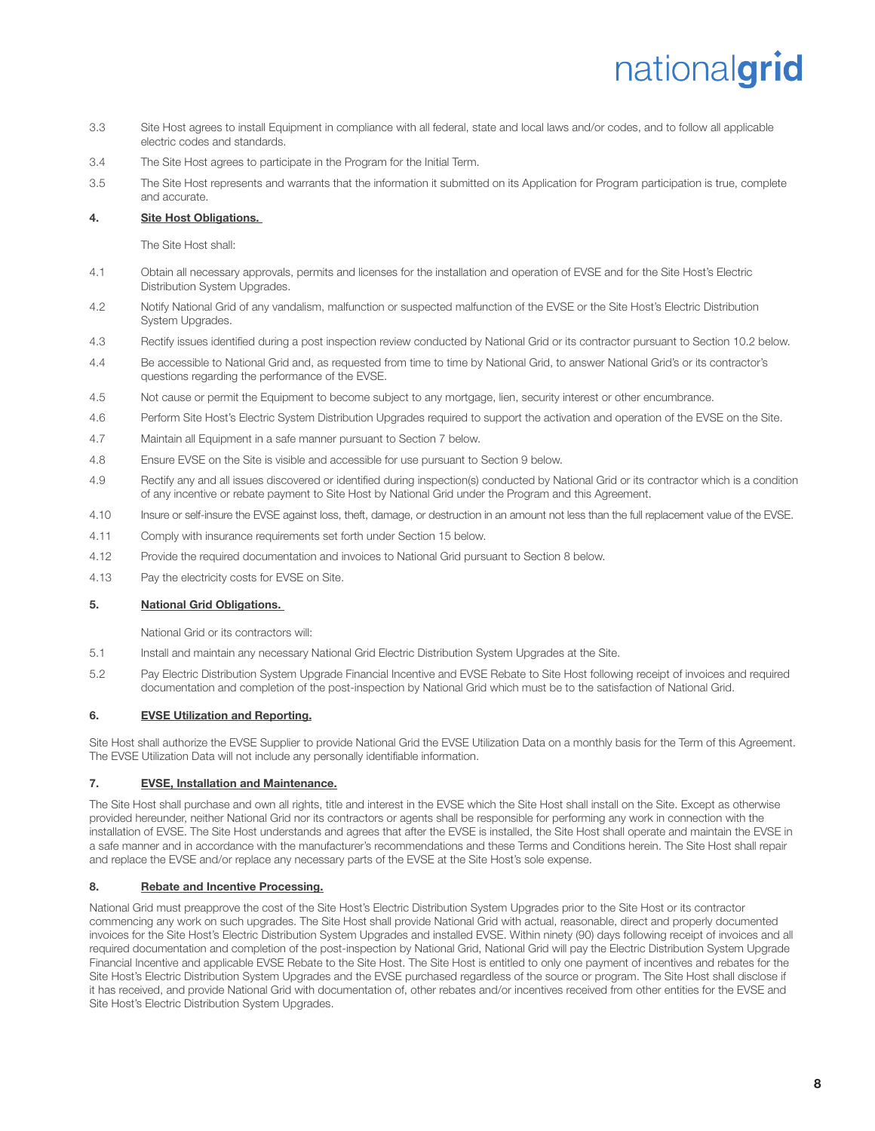- 3.3 Site Host agrees to install Equipment in compliance with all federal, state and local laws and/or codes, and to follow all applicable electric codes and standards.
- 3.4 The Site Host agrees to participate in the Program for the Initial Term.
- 3.5 The Site Host represents and warrants that the information it submitted on its Application for Program participation is true, complete and accurate.

#### 4. Site Host Obligations.

The Site Host shall:

- 4.1 Obtain all necessary approvals, permits and licenses for the installation and operation of EVSE and for the Site Host's Electric Distribution System Upgrades.
- 4.2 Notify National Grid of any vandalism, malfunction or suspected malfunction of the EVSE or the Site Host's Electric Distribution System Upgrades.
- 4.3 Rectify issues identified during a post inspection review conducted by National Grid or its contractor pursuant to Section 10.2 below.
- 4.4 Be accessible to National Grid and, as requested from time to time by National Grid, to answer National Grid's or its contractor's questions regarding the performance of the EVSE.
- 4.5 Not cause or permit the Equipment to become subject to any mortgage, lien, security interest or other encumbrance.
- 4.6 Perform Site Host's Electric System Distribution Upgrades required to support the activation and operation of the EVSE on the Site.
- 4.7 Maintain all Equipment in a safe manner pursuant to Section 7 below.
- 4.8 Ensure EVSE on the Site is visible and accessible for use pursuant to Section 9 below.
- 4.9 Rectify any and all issues discovered or identified during inspection(s) conducted by National Grid or its contractor which is a condition of any incentive or rebate payment to Site Host by National Grid under the Program and this Agreement.
- 4.10 Insure or self-insure the EVSE against loss, theft, damage, or destruction in an amount not less than the full replacement value of the EVSE.
- 4.11 Comply with insurance requirements set forth under Section 15 below.
- 4.12 Provide the required documentation and invoices to National Grid pursuant to Section 8 below.
- 4.13 Pay the electricity costs for EVSE on Site.

#### 5. National Grid Obligations.

National Grid or its contractors will:

- 5.1 Install and maintain any necessary National Grid Electric Distribution System Upgrades at the Site.
- 5.2 Pay Electric Distribution System Upgrade Financial Incentive and EVSE Rebate to Site Host following receipt of invoices and required documentation and completion of the post-inspection by National Grid which must be to the satisfaction of National Grid.

#### 6. EVSE Utilization and Reporting.

Site Host shall authorize the EVSE Supplier to provide National Grid the EVSE Utilization Data on a monthly basis for the Term of this Agreement. The EVSE Utilization Data will not include any personally identifiable information.

#### 7. EVSE, Installation and Maintenance.

The Site Host shall purchase and own all rights, title and interest in the EVSE which the Site Host shall install on the Site. Except as otherwise provided hereunder, neither National Grid nor its contractors or agents shall be responsible for performing any work in connection with the installation of EVSE. The Site Host understands and agrees that after the EVSE is installed, the Site Host shall operate and maintain the EVSE in a safe manner and in accordance with the manufacturer's recommendations and these Terms and Conditions herein. The Site Host shall repair and replace the EVSE and/or replace any necessary parts of the EVSE at the Site Host's sole expense.

#### 8. Rebate and Incentive Processing.

National Grid must preapprove the cost of the Site Host's Electric Distribution System Upgrades prior to the Site Host or its contractor commencing any work on such upgrades. The Site Host shall provide National Grid with actual, reasonable, direct and properly documented invoices for the Site Host's Electric Distribution System Upgrades and installed EVSE. Within ninety (90) days following receipt of invoices and all required documentation and completion of the post-inspection by National Grid, National Grid will pay the Electric Distribution System Upgrade Financial Incentive and applicable EVSE Rebate to the Site Host. The Site Host is entitled to only one payment of incentives and rebates for the Site Host's Electric Distribution System Upgrades and the EVSE purchased regardless of the source or program. The Site Host shall disclose if it has received, and provide National Grid with documentation of, other rebates and/or incentives received from other entities for the EVSE and Site Host's Electric Distribution System Upgrades.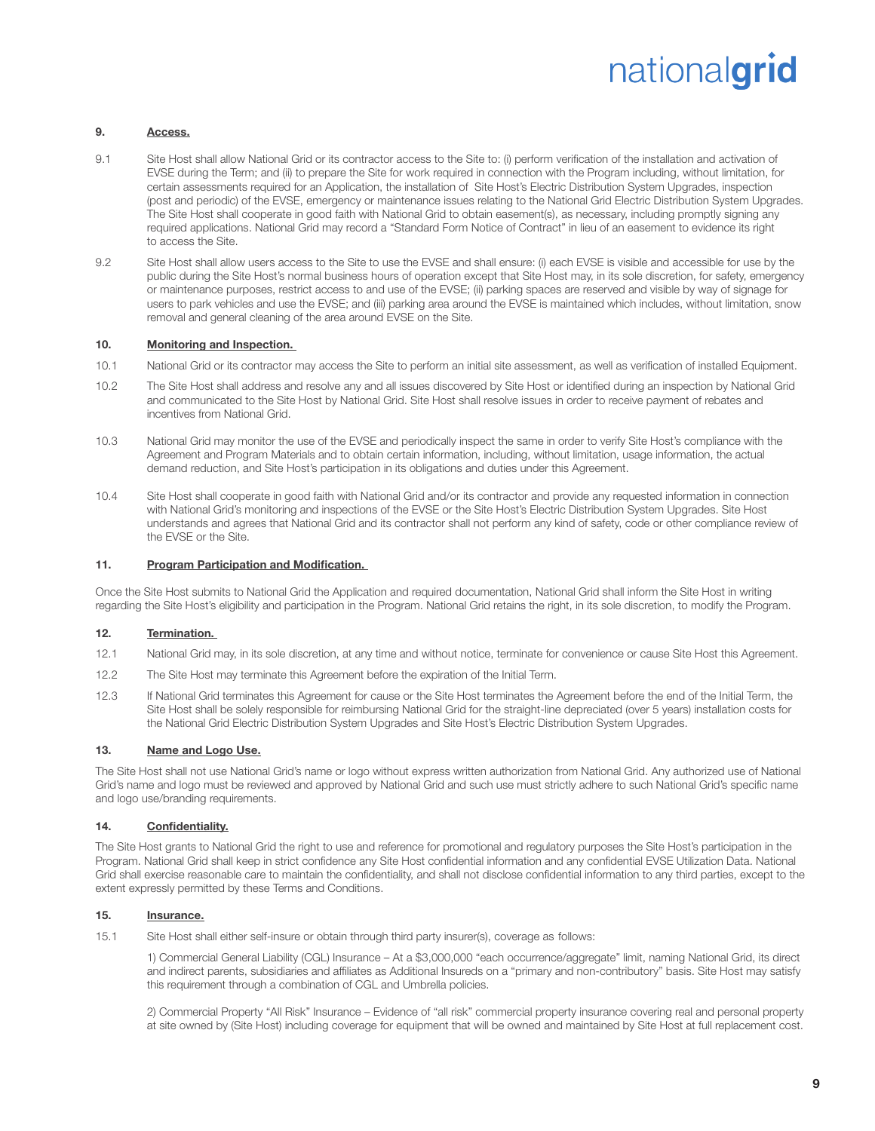#### 9. Access.

- 9.1 Site Host shall allow National Grid or its contractor access to the Site to: (i) perform verification of the installation and activation of EVSE during the Term; and (ii) to prepare the Site for work required in connection with the Program including, without limitation, for certain assessments required for an Application, the installation of Site Host's Electric Distribution System Upgrades, inspection (post and periodic) of the EVSE, emergency or maintenance issues relating to the National Grid Electric Distribution System Upgrades. The Site Host shall cooperate in good faith with National Grid to obtain easement(s), as necessary, including promptly signing any required applications. National Grid may record a "Standard Form Notice of Contract" in lieu of an easement to evidence its right to access the Site.
- 9.2 Site Host shall allow users access to the Site to use the EVSE and shall ensure: (i) each EVSE is visible and accessible for use by the public during the Site Host's normal business hours of operation except that Site Host may, in its sole discretion, for safety, emergency or maintenance purposes, restrict access to and use of the EVSE; (ii) parking spaces are reserved and visible by way of signage for users to park vehicles and use the EVSE; and (iii) parking area around the EVSE is maintained which includes, without limitation, snow removal and general cleaning of the area around EVSE on the Site.

#### 10. Monitoring and Inspection.

- 10.1 National Grid or its contractor may access the Site to perform an initial site assessment, as well as verification of installed Equipment.
- 10.2 The Site Host shall address and resolve any and all issues discovered by Site Host or identified during an inspection by National Grid and communicated to the Site Host by National Grid. Site Host shall resolve issues in order to receive payment of rebates and incentives from National Grid.
- 10.3 National Grid may monitor the use of the EVSE and periodically inspect the same in order to verify Site Host's compliance with the Agreement and Program Materials and to obtain certain information, including, without limitation, usage information, the actual demand reduction, and Site Host's participation in its obligations and duties under this Agreement.
- 10.4 Site Host shall cooperate in good faith with National Grid and/or its contractor and provide any requested information in connection with National Grid's monitoring and inspections of the EVSE or the Site Host's Electric Distribution System Upgrades. Site Host understands and agrees that National Grid and its contractor shall not perform any kind of safety, code or other compliance review of the EVSE or the Site.

#### 11. Program Participation and Modification.

Once the Site Host submits to National Grid the Application and required documentation, National Grid shall inform the Site Host in writing regarding the Site Host's eligibility and participation in the Program. National Grid retains the right, in its sole discretion, to modify the Program.

#### 12. Termination.

- 12.1 National Grid may, in its sole discretion, at any time and without notice, terminate for convenience or cause Site Host this Agreement.
- 12.2 The Site Host may terminate this Agreement before the expiration of the Initial Term.
- 12.3 If National Grid terminates this Agreement for cause or the Site Host terminates the Agreement before the end of the Initial Term, the Site Host shall be solely responsible for reimbursing National Grid for the straight-line depreciated (over 5 years) installation costs for the National Grid Electric Distribution System Upgrades and Site Host's Electric Distribution System Upgrades.

#### 13. Name and Logo Use.

The Site Host shall not use National Grid's name or logo without express written authorization from National Grid. Any authorized use of National Grid's name and logo must be reviewed and approved by National Grid and such use must strictly adhere to such National Grid's specific name and logo use/branding requirements.

#### 14. Confidentiality.

The Site Host grants to National Grid the right to use and reference for promotional and regulatory purposes the Site Host's participation in the Program. National Grid shall keep in strict confidence any Site Host confidential information and any confidential EVSE Utilization Data. National Grid shall exercise reasonable care to maintain the confidentiality, and shall not disclose confidential information to any third parties, except to the extent expressly permitted by these Terms and Conditions.

#### 15. Insurance.

15.1 Site Host shall either self-insure or obtain through third party insurer(s), coverage as follows:

1) Commercial General Liability (CGL) Insurance – At a \$3,000,000 "each occurrence/aggregate" limit, naming National Grid, its direct and indirect parents, subsidiaries and affiliates as Additional Insureds on a "primary and non-contributory" basis. Site Host may satisfy this requirement through a combination of CGL and Umbrella policies.

2) Commercial Property "All Risk" Insurance – Evidence of "all risk" commercial property insurance covering real and personal property at site owned by (Site Host) including coverage for equipment that will be owned and maintained by Site Host at full replacement cost.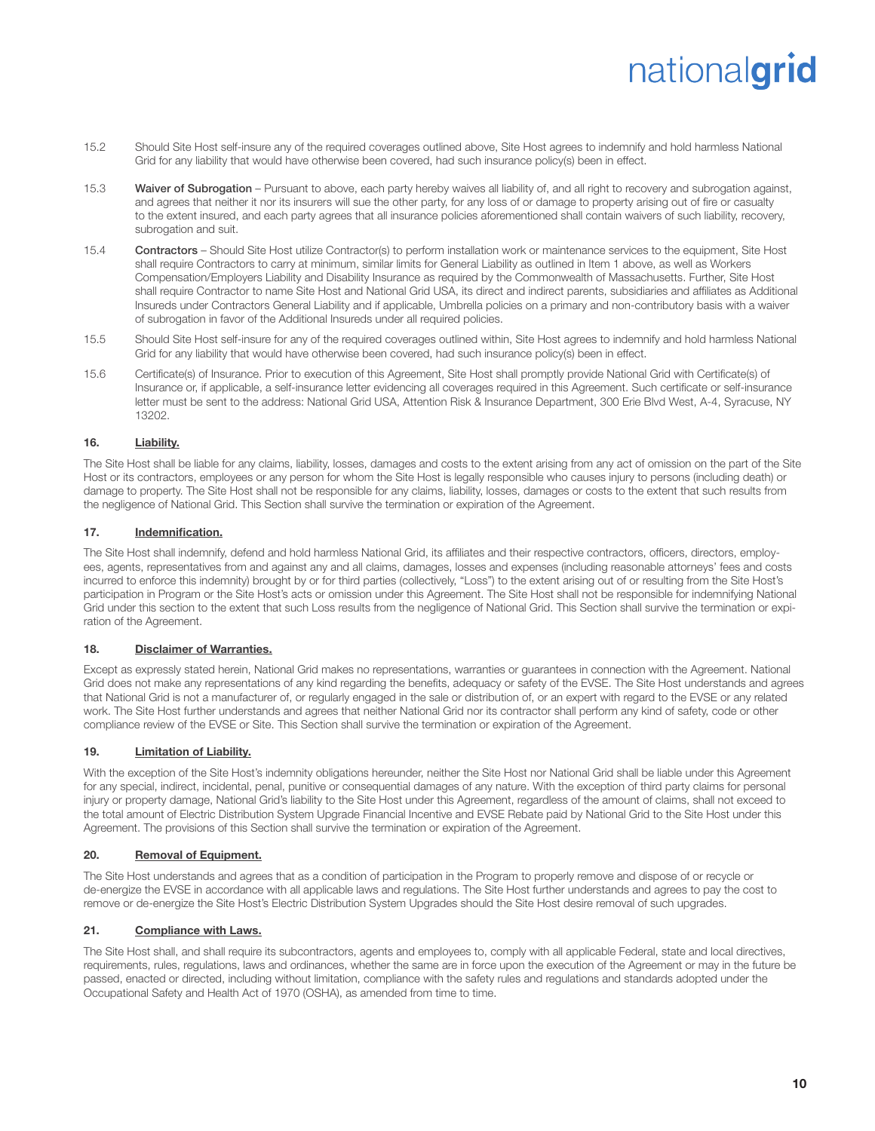- 15.2 Should Site Host self-insure any of the required coverages outlined above, Site Host agrees to indemnify and hold harmless National Grid for any liability that would have otherwise been covered, had such insurance policy(s) been in effect.
- 15.3 Waiver of Subrogation Pursuant to above, each party hereby waives all liability of, and all right to recovery and subrogation against, and agrees that neither it nor its insurers will sue the other party, for any loss of or damage to property arising out of fire or casualty to the extent insured, and each party agrees that all insurance policies aforementioned shall contain waivers of such liability, recovery, subrogation and suit.
- 15.4 Contractors Should Site Host utilize Contractor(s) to perform installation work or maintenance services to the equipment, Site Host shall require Contractors to carry at minimum, similar limits for General Liability as outlined in Item 1 above, as well as Workers Compensation/Employers Liability and Disability Insurance as required by the Commonwealth of Massachusetts. Further, Site Host shall require Contractor to name Site Host and National Grid USA, its direct and indirect parents, subsidiaries and affiliates as Additional Insureds under Contractors General Liability and if applicable, Umbrella policies on a primary and non-contributory basis with a waiver of subrogation in favor of the Additional Insureds under all required policies.
- 15.5 Should Site Host self-insure for any of the required coverages outlined within, Site Host agrees to indemnify and hold harmless National Grid for any liability that would have otherwise been covered, had such insurance policy(s) been in effect.
- 15.6 Certificate(s) of Insurance. Prior to execution of this Agreement, Site Host shall promptly provide National Grid with Certificate(s) of Insurance or, if applicable, a self-insurance letter evidencing all coverages required in this Agreement. Such certificate or self-insurance letter must be sent to the address: National Grid USA, Attention Risk & Insurance Department, 300 Erie Blvd West, A-4, Syracuse, NY 13202.

#### 16. Liability.

The Site Host shall be liable for any claims, liability, losses, damages and costs to the extent arising from any act of omission on the part of the Site Host or its contractors, employees or any person for whom the Site Host is legally responsible who causes injury to persons (including death) or damage to property. The Site Host shall not be responsible for any claims, liability, losses, damages or costs to the extent that such results from the negligence of National Grid. This Section shall survive the termination or expiration of the Agreement.

#### 17. Indemnification.

The Site Host shall indemnify, defend and hold harmless National Grid, its affiliates and their respective contractors, officers, directors, employees, agents, representatives from and against any and all claims, damages, losses and expenses (including reasonable attorneys' fees and costs incurred to enforce this indemnity) brought by or for third parties (collectively, "Loss") to the extent arising out of or resulting from the Site Host's participation in Program or the Site Host's acts or omission under this Agreement. The Site Host shall not be responsible for indemnifying National Grid under this section to the extent that such Loss results from the negligence of National Grid. This Section shall survive the termination or expiration of the Agreement.

#### 18. Disclaimer of Warranties.

Except as expressly stated herein, National Grid makes no representations, warranties or guarantees in connection with the Agreement. National Grid does not make any representations of any kind regarding the benefits, adequacy or safety of the EVSE. The Site Host understands and agrees that National Grid is not a manufacturer of, or regularly engaged in the sale or distribution of, or an expert with regard to the EVSE or any related work. The Site Host further understands and agrees that neither National Grid nor its contractor shall perform any kind of safety, code or other compliance review of the EVSE or Site. This Section shall survive the termination or expiration of the Agreement.

#### 19. **Limitation of Liability.**

With the exception of the Site Host's indemnity obligations hereunder, neither the Site Host nor National Grid shall be liable under this Agreement for any special, indirect, incidental, penal, punitive or consequential damages of any nature. With the exception of third party claims for personal injury or property damage, National Grid's liability to the Site Host under this Agreement, regardless of the amount of claims, shall not exceed to the total amount of Electric Distribution System Upgrade Financial Incentive and EVSE Rebate paid by National Grid to the Site Host under this Agreement. The provisions of this Section shall survive the termination or expiration of the Agreement.

#### 20. Removal of Equipment.

The Site Host understands and agrees that as a condition of participation in the Program to properly remove and dispose of or recycle or de-energize the EVSE in accordance with all applicable laws and regulations. The Site Host further understands and agrees to pay the cost to remove or de-energize the Site Host's Electric Distribution System Upgrades should the Site Host desire removal of such upgrades.

#### 21. Compliance with Laws.

The Site Host shall, and shall require its subcontractors, agents and employees to, comply with all applicable Federal, state and local directives, requirements, rules, regulations, laws and ordinances, whether the same are in force upon the execution of the Agreement or may in the future be passed, enacted or directed, including without limitation, compliance with the safety rules and regulations and standards adopted under the Occupational Safety and Health Act of 1970 (OSHA), as amended from time to time.